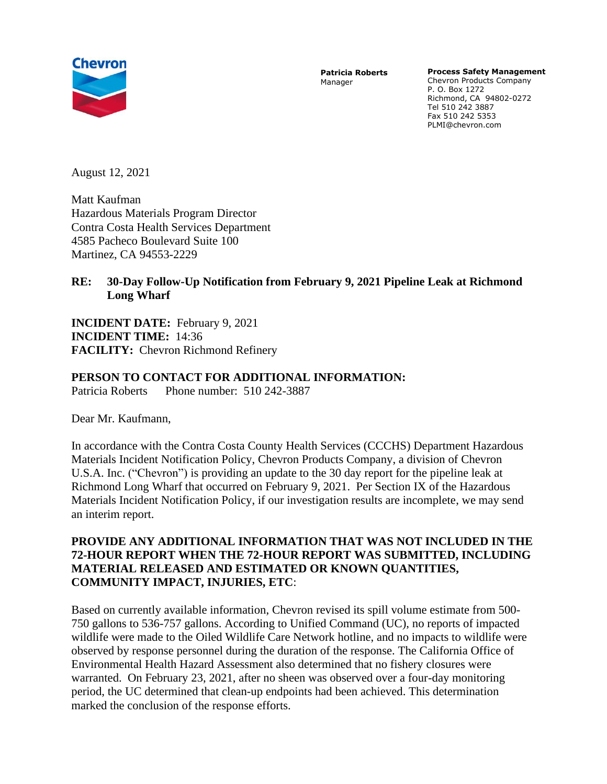

**Patricia Roberts** Manager

**Process Safety Management** 

Chevron Products Company P. O. Box 1272 Richmond, CA 94802-0272 Tel 510 242 3887 Fax 510 242 5353 PLMI@chevron.com

August 12, 2021

Matt Kaufman Hazardous Materials Program Director Contra Costa Health Services Department 4585 Pacheco Boulevard Suite 100 Martinez, CA 94553-2229

## **RE: 30-Day Follow-Up Notification from February 9, 2021 Pipeline Leak at Richmond Long Wharf**

**INCIDENT DATE:** February 9, 2021 **INCIDENT TIME:** 14:36 **FACILITY:** Chevron Richmond Refinery

## **PERSON TO CONTACT FOR ADDITIONAL INFORMATION:**

Patricia Roberts Phone number: 510 242-3887

Dear Mr. Kaufmann,

In accordance with the Contra Costa County Health Services (CCCHS) Department Hazardous Materials Incident Notification Policy, Chevron Products Company, a division of Chevron U.S.A. Inc. ("Chevron") is providing an update to the 30 day report for the pipeline leak at Richmond Long Wharf that occurred on February 9, 2021. Per Section IX of the Hazardous Materials Incident Notification Policy, if our investigation results are incomplete, we may send an interim report.

## **PROVIDE ANY ADDITIONAL INFORMATION THAT WAS NOT INCLUDED IN THE 72-HOUR REPORT WHEN THE 72-HOUR REPORT WAS SUBMITTED, INCLUDING MATERIAL RELEASED AND ESTIMATED OR KNOWN QUANTITIES, COMMUNITY IMPACT, INJURIES, ETC**:

Based on currently available information, Chevron revised its spill volume estimate from 500- 750 gallons to 536-757 gallons. According to Unified Command (UC), no reports of impacted wildlife were made to the Oiled Wildlife Care Network hotline, and no impacts to wildlife were observed by response personnel during the duration of the response. The California Office of Environmental Health Hazard Assessment also determined that no fishery closures were warranted. On February 23, 2021, after no sheen was observed over a four-day monitoring period, the UC determined that clean-up endpoints had been achieved. This determination marked the conclusion of the response efforts.